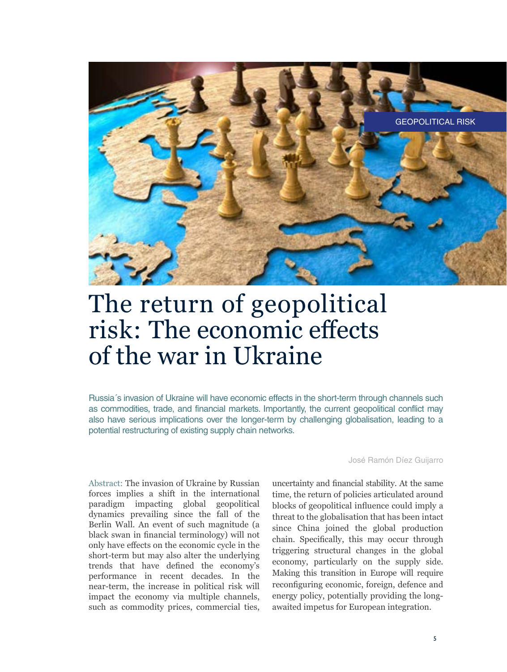

# The return of geopolitical risk: The economic effects of the war in Ukraine

Russia´s invasion of Ukraine will have economic effects in the short-term through channels such as commodities, trade, and financial markets. Importantly, the current geopolitical conflict may also have serious implications over the longer-term by challenging globalisation, leading to a potential restructuring of existing supply chain networks.

Abstract: The invasion of Ukraine by Russian forces implies a shift in the international paradigm impacting global geopolitical dynamics prevailing since the fall of the Berlin Wall. An event of such magnitude (a black swan in financial terminology) will not only have effects on the economic cycle in the short-term but may also alter the underlying trends that have defined the economy's performance in recent decades. In the near-term, the increase in political risk will impact the economy via multiple channels, such as commodity prices, commercial ties,

José Ramón Díez Guijarro

uncertainty and financial stability. At the same time, the return of policies articulated around blocks of geopolitical influence could imply a threat to the globalisation that has been intact since China joined the global production chain. Specifically, this may occur through triggering structural changes in the global economy, particularly on the supply side. Making this transition in Europe will require reconfiguring economic, foreign, defence and energy policy, potentially providing the longawaited impetus for European integration.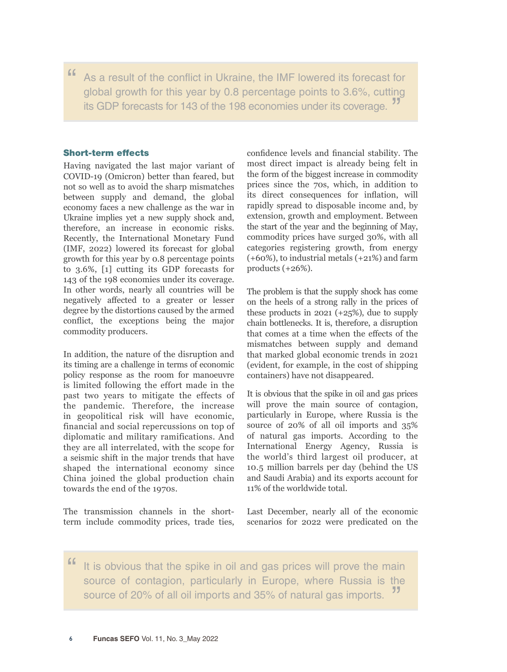" As a result of the conflict in Ukraine, the IMF lowered its forecast for global growth for this year by 0.8 percentage points to 3.6%, cutting its GDP forecasts for 143 of the 198 economies under its coverage. "

# Short-term effects

Having navigated the last major variant of COVID-19 (Omicron) better than feared, but not so well as to avoid the sharp mismatches between supply and demand, the global economy faces a new challenge as the war in Ukraine implies yet a new supply shock and, therefore, an increase in economic risks. Recently, the International Monetary Fund (IMF, 2022) lowered its forecast for global growth for this year by 0.8 percentage points to 3.6%, [1] cutting its GDP forecasts for 143 of the 198 economies under its coverage. In other words, nearly all countries will be negatively affected to a greater or lesser degree by the distortions caused by the armed conflict, the exceptions being the major commodity producers.

In addition, the nature of the disruption and its timing are a challenge in terms of economic policy response as the room for manoeuvre is limited following the effort made in the past two years to mitigate the effects of the pandemic. Therefore, the increase in geopolitical risk will have economic, financial and social repercussions on top of diplomatic and military ramifications. And they are all interrelated, with the scope for a seismic shift in the major trends that have shaped the international economy since China joined the global production chain towards the end of the 1970s.

The transmission channels in the shortterm include commodity prices, trade ties, confidence levels and financial stability. The most direct impact is already being felt in the form of the biggest increase in commodity prices since the 70s, which, in addition to its direct consequences for inflation, will rapidly spread to disposable income and, by extension, growth and employment. Between the start of the year and the beginning of May, commodity prices have surged 30%, with all categories registering growth, from energy (+60%), to industrial metals (+21%) and farm products  $(+26%)$ .

The problem is that the supply shock has come on the heels of a strong rally in the prices of these products in  $2021$  (+25%), due to supply chain bottlenecks. It is, therefore, a disruption that comes at a time when the effects of the mismatches between supply and demand that marked global economic trends in 2021 (evident, for example, in the cost of shipping containers) have not disappeared.

It is obvious that the spike in oil and gas prices will prove the main source of contagion, particularly in Europe, where Russia is the source of 20% of all oil imports and 35% of natural gas imports. According to the International Energy Agency, Russia is the world's third largest oil producer, at 10.5 million barrels per day (behind the US and Saudi Arabia) and its exports account for 11% of the worldwide total.

Last December, nearly all of the economic scenarios for 2022 were predicated on the

" It is obvious that the spike in oil and gas prices will prove the main source of contagion, particularly in Europe, where Russia is the source of 20% of all oil imports and 35% of natural gas imports.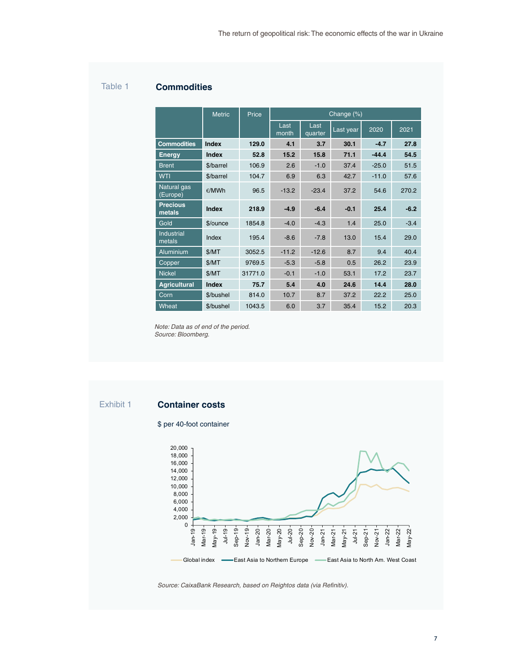# Table 1 **Commodities**

|                           | <b>Metric</b>   | Price   | Change (%)    |                 |           |         |        |  |  |
|---------------------------|-----------------|---------|---------------|-----------------|-----------|---------|--------|--|--|
|                           |                 |         | Last<br>month | Last<br>quarter | Last year | 2020    | 2021   |  |  |
| <b>Commodities</b>        | Index           | 129.0   | 4.1           | 3.7             | 30.1      | $-4.7$  | 27.8   |  |  |
| <b>Energy</b>             | Index           | 52.8    | 15.2          | 15.8            | 71.1      | $-44.4$ | 54.5   |  |  |
| <b>Brent</b>              | \$/barrel       | 106.9   | 2.6           | $-1.0$          | 37.4      | $-25.0$ | 51.5   |  |  |
| <b>WTI</b>                | \$/barrel       | 104.7   | 6.9           | 6.3             | 42.7      | $-11.0$ | 57.6   |  |  |
| Natural gas<br>(Europe)   | $\epsilon$ /MWh | 96.5    | $-13.2$       | $-23.4$         | 37.2      | 54.6    | 270.2  |  |  |
| <b>Precious</b><br>metals | Index           | 218.9   | $-4.9$        | $-6.4$          | $-0.1$    | 25.4    | $-6.2$ |  |  |
| Gold                      | \$/ounce        | 1854.8  | $-4.0$        | $-4.3$          | 1.4       | 25.0    | $-3.4$ |  |  |
| Industrial<br>metals      | Index           | 195.4   | $-8.6$        | $-7.8$          | 13.0      | 15.4    | 29.0   |  |  |
| Aluminium                 | \$/MT           | 3052.5  | $-11.2$       | $-12.6$         | 8.7       | 9.4     | 40.4   |  |  |
| Copper                    | \$/MT           | 9769.5  | $-5.3$        | $-5.8$          | 0.5       | 26.2    | 23.9   |  |  |
| <b>Nickel</b>             | \$/MT           | 31771.0 | $-0.1$        | $-1.0$          | 53.1      | 17.2    | 23.7   |  |  |
| <b>Agricultural</b>       | Index           | 75.7    | 5.4           | 4.0             | 24.6      | 14.4    | 28.0   |  |  |
| Corn                      | \$/bushel       | 814.0   | 10.7          | 8.7             | 37.2      | 22.2    | 25.0   |  |  |
| Wheat                     | \$/bushel       | 1043.5  | 6.0           | 3.7             | 35.4      | 15.2    | 20.3   |  |  |

*Note: Data as of end of the period. Source: Bloomberg.*

# Exhibit 1 **Container costs**

### \$ per 40-foot container



*Source: CaixaBank Research, based on Reightos data (via Refinitiv).*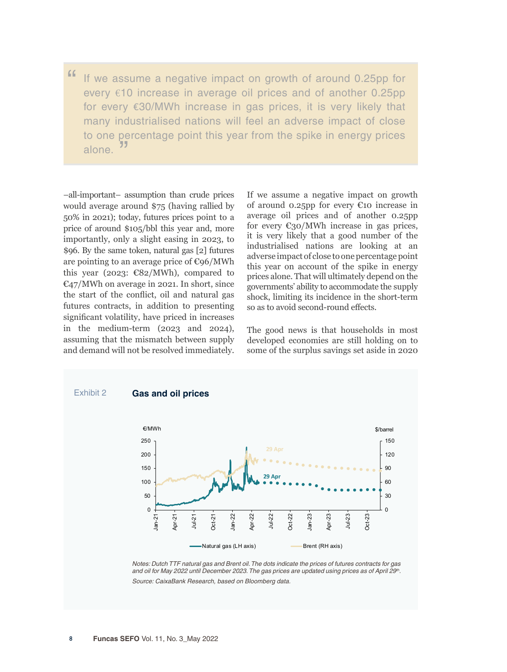" If we assume a negative impact on growth of around 0.25pp for every €10 increase in average oil prices and of another 0.25pp for every €30/MWh increase in gas prices, it is very likely that many industrialised nations will feel an adverse impact of close to one percentage point this year from the spike in energy prices alone. "

–all-important– assumption than crude prices would average around \$75 (having rallied by 50% in 2021); today, futures prices point to a price of around \$105/bbl this year and, more importantly, only a slight easing in 2023, to \$96. By the same token, natural gas [2] futures are pointing to an average price of €96/MWh this year (2023:  $\epsilon$ 82/MWh), compared to  $\mathbb{C}$ 47/MWh on average in 2021. In short, since the start of the conflict, oil and natural gas futures contracts, in addition to presenting significant volatility, have priced in increases in the medium-term (2023 and 2024), assuming that the mismatch between supply and demand will not be resolved immediately. If we assume a negative impact on growth of around 0.25pp for every €10 increase in average oil prices and of another 0.25pp for every  $\epsilon_{30}$ /MWh increase in gas prices, it is very likely that a good number of the industrialised nations are looking at an adverse impact of close to one percentage point this year on account of the spike in energy prices alone. That will ultimately depend on the governments' ability to accommodate the supply shock, limiting its incidence in the short-term so as to avoid second-round effects.

The good news is that households in most developed economies are still holding on to some of the surplus savings set aside in 2020



*Notes: Dutch TTF natural gas and Brent oil. The dots indicate the prices of futures contracts for gas*  and oil for May 2022 until December 2023. The gas prices are updated using prices as of April 29<sup>th</sup>. *Source: CaixaBank Research, based on Bloomberg data.*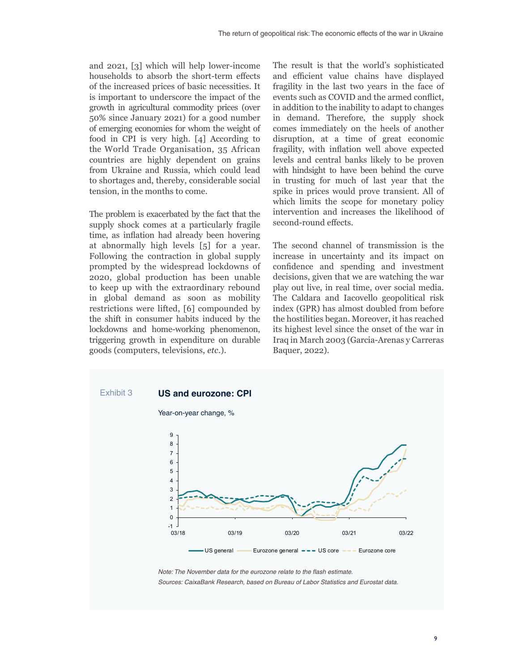and 2021, [3] which will help lower-income households to absorb the short-term effects of the increased prices of basic necessities. It is important to underscore the impact of the growth in agricultural commodity prices (over 50% since January 2021) for a good number of emerging economies for whom the weight of food in CPI is very high. [4] According to the World Trade Organisation, 35 African countries are highly dependent on grains from Ukraine and Russia, which could lead to shortages and, thereby, considerable social tension, in the months to come.

The problem is exacerbated by the fact that the supply shock comes at a particularly fragile time, as inflation had already been hovering at abnormally high levels [5] for a year. Following the contraction in global supply prompted by the widespread lockdowns of 2020, global production has been unable to keep up with the extraordinary rebound in global demand as soon as mobility restrictions were lifted, [6] compounded by the shift in consumer habits induced by the lockdowns and home-working phenomenon, triggering growth in expenditure on durable goods (computers, televisions, *etc*.).

The result is that the world's sophisticated and efficient value chains have displayed fragility in the last two years in the face of events such as COVID and the armed conflict, in addition to the inability to adapt to changes in demand. Therefore, the supply shock comes immediately on the heels of another disruption, at a time of great economic fragility, with inflation well above expected levels and central banks likely to be proven with hindsight to have been behind the curve in trusting for much of last year that the spike in prices would prove transient. All of which limits the scope for monetary policy intervention and increases the likelihood of second-round effects.

The second channel of transmission is the increase in uncertainty and its impact on confidence and spending and investment decisions, given that we are watching the war play out live, in real time, over social media. The Caldara and Iacovello geopolitical risk index (GPR) has almost doubled from before the hostilities began. Moreover, it has reached its highest level since the onset of the war in Iraq in March 2003 (Garcia-Arenas y Carreras Baquer, 2022).



*Note: The November data for the eurozone relate to the flash estimate. Sources: CaixaBank Research, based on Bureau of Labor Statistics and Eurostat data.*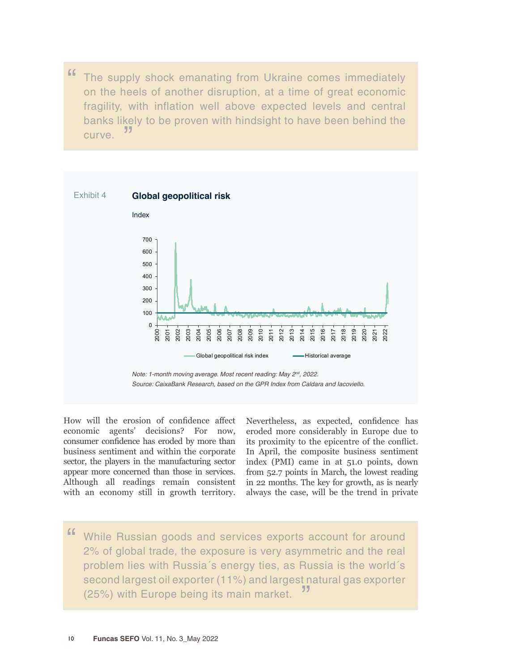" The supply shock emanating from Ukraine comes immediately on the heels of another disruption, at a time of great economic fragility, with inflation well above expected levels and central banks likely to be proven with hindsight to have been behind the curve. <sup>77</sup>



How will the erosion of confidence affect economic agents' decisions? For now, consumer confidence has eroded by more than business sentiment and within the corporate sector, the players in the manufacturing sector appear more concerned than those in services. Although all readings remain consistent with an economy still in growth territory. Nevertheless, as expected, confidence has eroded more considerably in Europe due to its proximity to the epicentre of the conflict. In April, the composite business sentiment index (PMI) came in at 51.0 points, down from 52.7 points in March, the lowest reading in 22 months. The key for growth, as is nearly always the case, will be the trend in private

" While Russian goods and services exports account for around 2% of global trade, the exposure is very asymmetric and the real problem lies with Russia´s energy ties, as Russia is the world´s second largest oil exporter (11%) and largest natural gas exporter (25%) with Europe being its main market.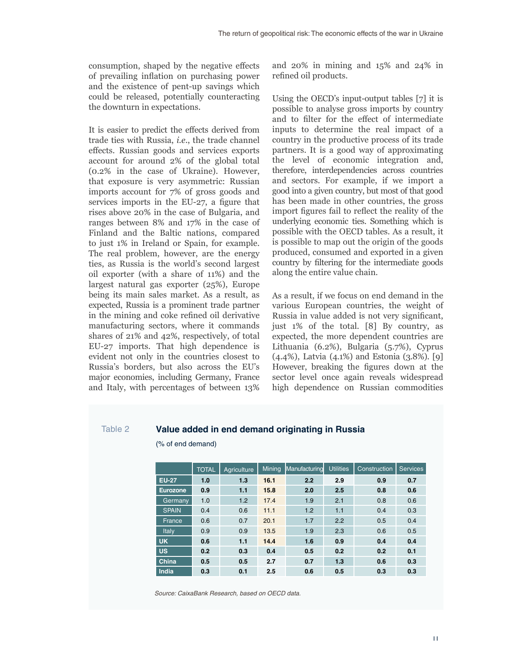consumption, shaped by the negative effects of prevailing inflation on purchasing power and the existence of pent-up savings which could be released, potentially counteracting the downturn in expectations.

It is easier to predict the effects derived from trade ties with Russia, *i.e*., the trade channel effects. Russian goods and services exports account for around 2% of the global total (0.2% in the case of Ukraine). However, that exposure is very asymmetric: Russian imports account for 7% of gross goods and services imports in the EU-27, a figure that rises above 20% in the case of Bulgaria, and ranges between 8% and 17% in the case of Finland and the Baltic nations, compared to just 1% in Ireland or Spain, for example. The real problem, however, are the energy ties, as Russia is the world's second largest oil exporter (with a share of 11%) and the largest natural gas exporter (25%), Europe being its main sales market. As a result, as expected, Russia is a prominent trade partner in the mining and coke refined oil derivative manufacturing sectors, where it commands shares of 21% and 42%, respectively, of total EU-27 imports. That high dependence is evident not only in the countries closest to Russia's borders, but also across the EU's major economies, including Germany, France and Italy, with percentages of between 13%

and 20% in mining and 15% and 24% in refined oil products.

Using the OECD's input-output tables [7] it is possible to analyse gross imports by country and to filter for the effect of intermediate inputs to determine the real impact of a country in the productive process of its trade partners. It is a good way of approximating the level of economic integration and, therefore, interdependencies across countries and sectors. For example, if we import a good into a given country, but most of that good has been made in other countries, the gross import figures fail to reflect the reality of the underlying economic ties. Something which is possible with the OECD tables. As a result, it is possible to map out the origin of the goods produced, consumed and exported in a given country by filtering for the intermediate goods along the entire value chain.

As a result, if we focus on end demand in the various European countries, the weight of Russia in value added is not very significant, just 1% of the total. [8] By country, as expected, the more dependent countries are Lithuania (6.2%), Bulgaria (5.7%), Cyprus (4.4%), Latvia (4.1%) and Estonia (3.8%). [9] However, breaking the figures down at the sector level once again reveals widespread high dependence on Russian commodities

# Table 2 **Value added in end demand originating in Russia**

(% of end demand)

|              | <b>TOTAL</b> | Agriculture | <b>Mining</b> | Manufacturing | <b>Utilities</b> | Construction | <b>Services</b> |
|--------------|--------------|-------------|---------------|---------------|------------------|--------------|-----------------|
| <b>EU-27</b> | 1.0          | 1.3         | 16.1          | 2.2           | 2.9              | 0.9          | 0.7             |
| Eurozone     | 0.9          | 1.1         | 15.8          | 2.0           | 2.5              | 0.8          | 0.6             |
| Germany      | 1.0          | 1.2         | 17.4          | 1.9           | 2.1              | 0.8          | 0.6             |
| <b>SPAIN</b> | 0.4          | 0.6         | 11.1          | 1.2           | 1.1              | 0.4          | 0.3             |
| France       | 0.6          | 0.7         | 20.1          | 1.7           | 2.2              | 0.5          | 0.4             |
| Italy        | 0.9          | 0.9         | 13.5          | 1.9           | 2.3              | 0.6          | 0.5             |
| <b>UK</b>    | 0.6          | 1.1         | 14.4          | 1.6           | 0.9              | 0.4          | 0.4             |
| <b>US</b>    | 0.2          | 0.3         | 0.4           | 0.5           | 0.2              | 0.2          | 0.1             |
| China        | 0.5          | 0.5         | 2.7           | 0.7           | 1.3              | 0.6          | 0.3             |
| India        | 0.3          | 0.1         | 2.5           | 0.6           | 0.5              | 0.3          | 0.3             |

*Source: CaixaBank Research, based on OECD data.*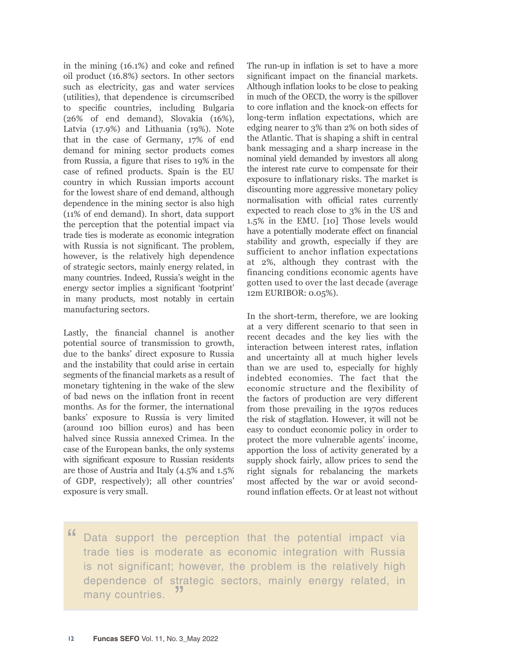in the mining (16.1%) and coke and refined oil product (16.8%) sectors. In other sectors such as electricity, gas and water services (utilities), that dependence is circumscribed to specific countries, including Bulgaria (26% of end demand), Slovakia (16%), Latvia (17.9%) and Lithuania (19%). Note that in the case of Germany, 17% of end demand for mining sector products comes from Russia, a figure that rises to 19% in the case of refined products. Spain is the EU country in which Russian imports account for the lowest share of end demand, although dependence in the mining sector is also high (11% of end demand). In short, data support the perception that the potential impact via trade ties is moderate as economic integration with Russia is not significant. The problem, however, is the relatively high dependence of strategic sectors, mainly energy related, in many countries. Indeed, Russia's weight in the energy sector implies a significant 'footprint' in many products, most notably in certain manufacturing sectors.

Lastly, the financial channel is another potential source of transmission to growth, due to the banks' direct exposure to Russia and the instability that could arise in certain segments of the financial markets as a result of monetary tightening in the wake of the slew of bad news on the inflation front in recent months. As for the former, the international banks' exposure to Russia is very limited (around 100 billion euros) and has been halved since Russia annexed Crimea. In the case of the European banks, the only systems with significant exposure to Russian residents are those of Austria and Italy (4.5% and 1.5% of GDP, respectively); all other countries' exposure is very small.

The run-up in inflation is set to have a more significant impact on the financial markets. Although inflation looks to be close to peaking in much of the OECD, the worry is the spillover to core inflation and the knock-on effects for long-term inflation expectations, which are edging nearer to 3% than 2% on both sides of the Atlantic. That is shaping a shift in central bank messaging and a sharp increase in the nominal yield demanded by investors all along the interest rate curve to compensate for their exposure to inflationary risks. The market is discounting more aggressive monetary policy normalisation with official rates currently expected to reach close to 3% in the US and 1.5% in the EMU. [10] Those levels would have a potentially moderate effect on financial stability and growth, especially if they are sufficient to anchor inflation expectations at 2%, although they contrast with the financing conditions economic agents have gotten used to over the last decade (average 12m EURIBOR: 0.05%).

In the short-term, therefore, we are looking at a very different scenario to that seen in recent decades and the key lies with the interaction between interest rates, inflation and uncertainty all at much higher levels than we are used to, especially for highly indebted economies. The fact that the economic structure and the flexibility of the factors of production are very different from those prevailing in the 1970s reduces the risk of stagflation. However, it will not be easy to conduct economic policy in order to protect the more vulnerable agents' income, apportion the loss of activity generated by a supply shock fairly, allow prices to send the right signals for rebalancing the markets most affected by the war or avoid secondround inflation effects. Or at least not without

" Data support the perception that the potential impact via trade ties is moderate as economic integration with Russia is not significant; however, the problem is the relatively high dependence of strategic sectors, mainly energy related, in many countries.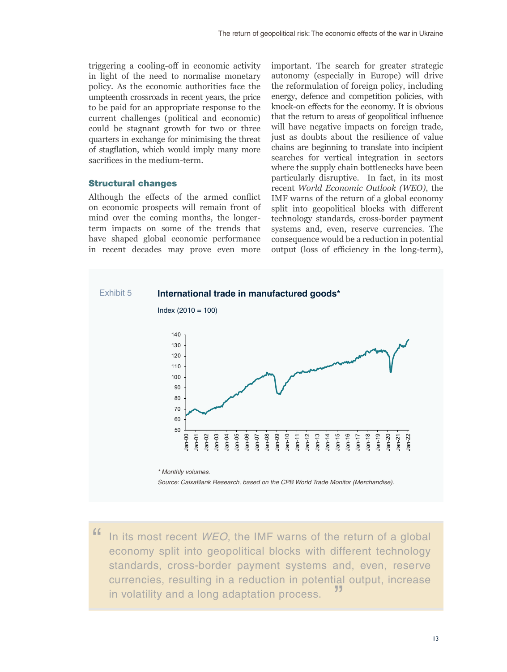triggering a cooling-off in economic activity in light of the need to normalise monetary policy. As the economic authorities face the umpteenth crossroads in recent years, the price to be paid for an appropriate response to the current challenges (political and economic) could be stagnant growth for two or three quarters in exchange for minimising the threat of stagflation, which would imply many more sacrifices in the medium-term.

## Structural changes

Although the effects of the armed conflict on economic prospects will remain front of mind over the coming months, the longerterm impacts on some of the trends that have shaped global economic performance in recent decades may prove even more

important. The search for greater strategic autonomy (especially in Europe) will drive the reformulation of foreign policy, including energy, defence and competition policies, with knock-on effects for the economy. It is obvious that the return to areas of geopolitical influence will have negative impacts on foreign trade, just as doubts about the resilience of value chains are beginning to translate into incipient searches for vertical integration in sectors where the supply chain bottlenecks have been particularly disruptive. In fact, in its most recent *World Economic Outlook (WEO)*, the IMF warns of the return of a global economy split into geopolitical blocks with different technology standards, cross-border payment systems and, even, reserve currencies. The consequence would be a reduction in potential output (loss of efficiency in the long-term),



" In its most recent *WEO*, the IMF warns of the return of a global economy split into geopolitical blocks with different technology standards, cross-border payment systems and, even, reserve currencies, resulting in a reduction in potential output, increase in volatility and a long adaptation process.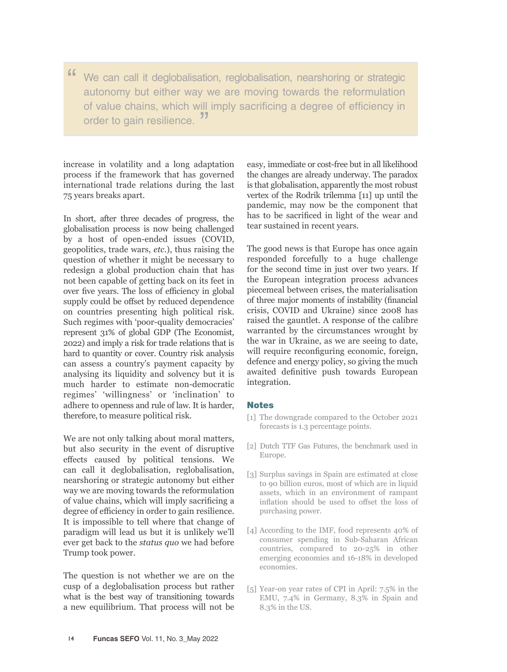" We can call it deglobalisation, reglobalisation, nearshoring or strategic autonomy but either way we are moving towards the reformulation of value chains, which will imply sacrificing a degree of efficiency in order to gain resilience.<sup>"</sup>

increase in volatility and a long adaptation process if the framework that has governed international trade relations during the last 75 years breaks apart.

In short, after three decades of progress, the globalisation process is now being challenged by a host of open-ended issues (COVID, geopolitics, trade wars, *etc*.), thus raising the question of whether it might be necessary to redesign a global production chain that has not been capable of getting back on its feet in over five years. The loss of efficiency in global supply could be offset by reduced dependence on countries presenting high political risk. Such regimes with 'poor-quality democracies' represent 31% of global GDP (The Economist, 2022) and imply a risk for trade relations that is hard to quantity or cover. Country risk analysis can assess a country's payment capacity by analysing its liquidity and solvency but it is much harder to estimate non-democratic regimes' 'willingness' or 'inclination' to adhere to openness and rule of law. It is harder, therefore, to measure political risk.

We are not only talking about moral matters, but also security in the event of disruptive effects caused by political tensions. We can call it deglobalisation, reglobalisation, nearshoring or strategic autonomy but either way we are moving towards the reformulation of value chains, which will imply sacrificing a degree of efficiency in order to gain resilience. It is impossible to tell where that change of paradigm will lead us but it is unlikely we'll ever get back to the *status quo* we had before Trump took power.

The question is not whether we are on the cusp of a deglobalisation process but rather what is the best way of transitioning towards a new equilibrium. That process will not be

easy, immediate or cost-free but in all likelihood the changes are already underway. The paradox is that globalisation, apparently the most robust vertex of the Rodrik trilemma [11] up until the pandemic, may now be the component that has to be sacrificed in light of the wear and tear sustained in recent years.

The good news is that Europe has once again responded forcefully to a huge challenge for the second time in just over two years. If the European integration process advances piecemeal between crises, the materialisation of three major moments of instability (financial crisis, COVID and Ukraine) since 2008 has raised the gauntlet. A response of the calibre warranted by the circumstances wrought by the war in Ukraine, as we are seeing to date, will require reconfiguring economic, foreign, defence and energy policy, so giving the much awaited definitive push towards European integration.

# **Notes**

- [1] The downgrade compared to the October 2021 forecasts is 1.3 percentage points.
- [2] Dutch TTF Gas Futures, the benchmark used in Europe.
- [3] Surplus savings in Spain are estimated at close to 90 billion euros, most of which are in liquid assets, which in an environment of rampant inflation should be used to offset the loss of purchasing power.
- [4] According to the IMF, food represents 40% of consumer spending in Sub-Saharan African countries, compared to 20-25% in other emerging economies and 16-18% in developed economies.
- [5] Year-on year rates of CPI in April: 7.5% in the EMU, 7.4% in Germany, 8.3% in Spain and 8.3% in the US.